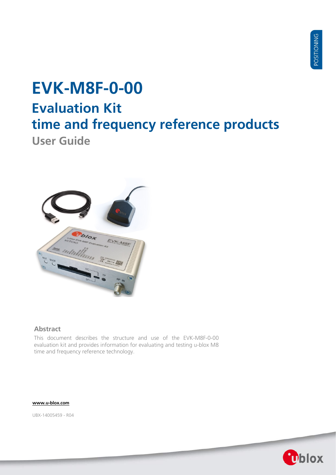# **EVK-M8F-0-00 Evaluation Kit time and frequency reference products**

**User Guide**



### **Abstract**

This document describes the structure and use of the EVK-M8F-0-00 evaluation kit and provides information for evaluating and testing u-blox M8 time and frequency reference technology.

### **[www.u-blox.com](http://www.u-blox.com/)**

UBX-14005459 - R04

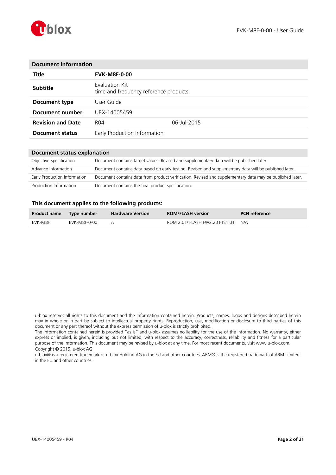

| <b>Document Information</b>                             |             |  |  |
|---------------------------------------------------------|-------------|--|--|
| <b>EVK-M8F-0-00</b>                                     |             |  |  |
| Evaluation Kit<br>time and frequency reference products |             |  |  |
| User Guide.                                             |             |  |  |
| UBX-14005459                                            |             |  |  |
| R04                                                     | 06-Jul-2015 |  |  |
| Early Production Information                            |             |  |  |
|                                                         |             |  |  |

### **Document status explanation**

| Objective Specification      | Document contains target values. Revised and supplementary data will be published later.                 |
|------------------------------|----------------------------------------------------------------------------------------------------------|
| Advance Information          | Document contains data based on early testing. Revised and supplementary data will be published later.   |
| Early Production Information | Document contains data from product verification. Revised and supplementary data may be published later. |
| Production Information       | Document contains the final product specification.                                                       |

### **This document applies to the following products:**

| Product name Type number |              | <b>Hardware Version</b> | <b>ROM/FLASH version</b>       | <b>PCN</b> reference |
|--------------------------|--------------|-------------------------|--------------------------------|----------------------|
| EVK-M8F                  | EVK-M8F-0-00 |                         | ROM 2.01/ FLASH FW2.20 FTS1.01 | N/A                  |

u-blox reserves all rights to this document and the information contained herein. Products, names, logos and designs described herein may in whole or in part be subject to intellectual property rights. Reproduction, use, modification or disclosure to third parties of this document or any part thereof without the express permission of u-blox is strictly prohibited.

The information contained herein is provided "as is" and u-blox assumes no liability for the use of the information. No warranty, either express or implied, is given, including but not limited, with respect to the accuracy, correctness, reliability and fitness for a particular purpose of the information. This document may be revised by u-blox at any time. For most recent documents, visit www.u-blox.com. Copyright © 2015, u-blox AG.

u-blox® is a registered trademark of u-blox Holding AG in the EU and other countries. ARM® is the registered trademark of ARM Limited in the EU and other countries.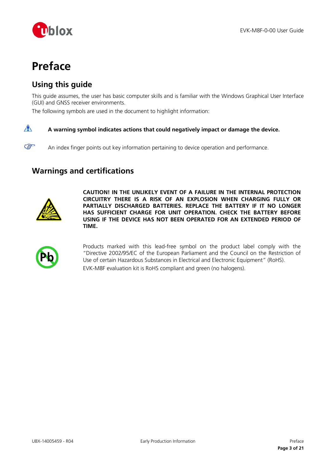

## <span id="page-2-0"></span>**Preface**

## <span id="page-2-1"></span>**Using this guide**

This guide assumes, the user has basic computer skills and is familiar with the Windows Graphical User Interface (GUI) and GNSS receiver environments.

The following symbols are used in the document to highlight information:

#### $\bigwedge$ **A warning symbol indicates actions that could negatively impact or damage the device.**

An index finger points out key information pertaining to device operation and performance.

## <span id="page-2-2"></span>**Warnings and certifications**



 $\mathbb{F}$ 

**CAUTION! IN THE UNLIKELY EVENT OF A FAILURE IN THE INTERNAL PROTECTION CIRCUITRY THERE IS A RISK OF AN EXPLOSION WHEN CHARGING FULLY OR PARTIALLY DISCHARGED BATTERIES. REPLACE THE BATTERY IF IT NO LONGER HAS SUFFICIENT CHARGE FOR UNIT OPERATION. CHECK THE BATTERY BEFORE USING IF THE DEVICE HAS NOT BEEN OPERATED FOR AN EXTENDED PERIOD OF TIME.**



Products marked with this lead-free symbol on the product label comply with the "Directive 2002/95/EC of the European Parliament and the Council on the Restriction of Use of certain Hazardous Substances in Electrical and Electronic Equipment" (RoHS). EVK-M8F evaluation kit is RoHS compliant and green (no halogens).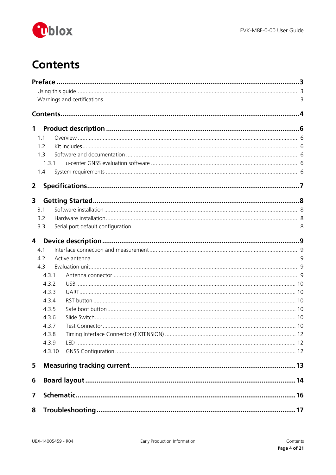

## <span id="page-3-0"></span>**Contents**

| $\mathbf 1$    |                |  |  |  |  |  |
|----------------|----------------|--|--|--|--|--|
|                | 1.1            |  |  |  |  |  |
|                | 1.2            |  |  |  |  |  |
|                | 1 <sub>3</sub> |  |  |  |  |  |
|                | 1.3.1          |  |  |  |  |  |
|                | 1.4            |  |  |  |  |  |
| $\overline{2}$ |                |  |  |  |  |  |
| 3              |                |  |  |  |  |  |
|                | 3.1            |  |  |  |  |  |
|                | 3.2            |  |  |  |  |  |
|                | 3.3            |  |  |  |  |  |
| $\overline{4}$ |                |  |  |  |  |  |
|                | 4.1            |  |  |  |  |  |
|                | 4.2            |  |  |  |  |  |
|                | 4.3            |  |  |  |  |  |
|                | 4.3.1          |  |  |  |  |  |
|                | 4.3.2          |  |  |  |  |  |
|                | 4.3.3          |  |  |  |  |  |
|                | 4.3.4          |  |  |  |  |  |
|                | 4.3.5          |  |  |  |  |  |
| 4.3.6          |                |  |  |  |  |  |
| 4.3.7          |                |  |  |  |  |  |
| 4.3.8          |                |  |  |  |  |  |
| 4.3.9          |                |  |  |  |  |  |
|                | 4.3.10         |  |  |  |  |  |
| 5              |                |  |  |  |  |  |
| 6              |                |  |  |  |  |  |
| 7              |                |  |  |  |  |  |
| 8              |                |  |  |  |  |  |
|                |                |  |  |  |  |  |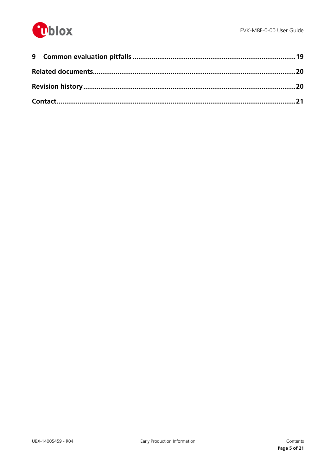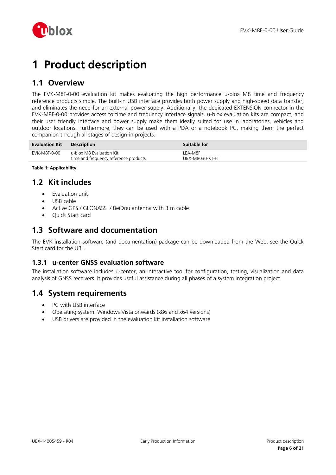

## <span id="page-5-0"></span>**1 Product description**

## <span id="page-5-1"></span>**1.1 Overview**

The EVK-M8F-0-00 evaluation kit makes evaluating the high performance u-blox M8 time and frequency reference products simple. The built-in USB interface provides both power supply and high-speed data transfer, and eliminates the need for an external power supply. Additionally, the dedicated EXTENSION connector in the EVK-M8F-0-00 provides access to time and frequency interface signals. u-blox evaluation kits are compact, and their user friendly interface and power supply make them ideally suited for use in laboratories, vehicles and outdoor locations. Furthermore, they can be used with a PDA or a notebook PC, making them the perfect companion through all stages of design-in projects.

| <b>Evaluation Kit</b> | <b>Description</b>                                                | Suitable for               |
|-----------------------|-------------------------------------------------------------------|----------------------------|
| EVK-M8F-0-00          | u-blox M8 Evaluation Kit<br>time and frequency reference products | LEA-M8F<br>UBX-M8030-KT-FT |

**Table 1: Applicability**

## <span id="page-5-2"></span>**1.2 Kit includes**

- Evaluation unit
- USB cable
- Active GPS / GLONASS / BeiDou antenna with 3 m cable
- Quick Start card

### <span id="page-5-3"></span>**1.3 Software and documentation**

The EVK installation software (and documentation) package can be downloaded from the Web; see the Quick Start card for the URL.

### <span id="page-5-4"></span>**1.3.1 u-center GNSS evaluation software**

The installation software includes u-center, an interactive tool for configuration, testing, visualization and data analysis of GNSS receivers. It provides useful assistance during all phases of a system integration project.

## <span id="page-5-5"></span>**1.4 System requirements**

- PC with USB interface
- Operating system: Windows Vista onwards (x86 and x64 versions)
- USB drivers are provided in the evaluation kit installation software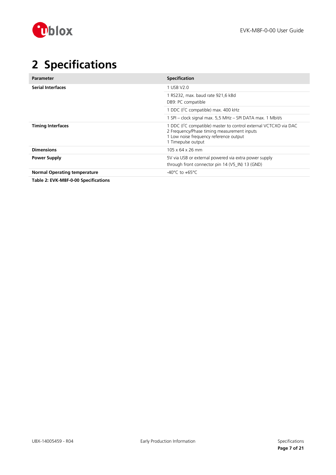

## <span id="page-6-0"></span>**2 Specifications**

| <b>Parameter</b>                    | <b>Specification</b>                                                                                                                                                                         |
|-------------------------------------|----------------------------------------------------------------------------------------------------------------------------------------------------------------------------------------------|
| <b>Serial Interfaces</b>            | 1 USB V2.0                                                                                                                                                                                   |
|                                     | 1 RS232, max. baud rate 921,6 kBd<br>DB9: PC compatible                                                                                                                                      |
|                                     | 1 DDC (I <sup>2</sup> C compatible) max. 400 kHz                                                                                                                                             |
|                                     | 1 SPI - clock signal max. 5,5 MHz - SPI DATA max. 1 Mbit/s                                                                                                                                   |
| <b>Timing Interfaces</b>            | 1 DDC (I <sup>2</sup> C compatible) master to control external VCTCXO via DAC<br>2 Frequency/Phase timing measurement inputs<br>1 Low noise frequency reference output<br>1 Timepulse output |
| <b>Dimensions</b>                   | 105 x 64 x 26 mm                                                                                                                                                                             |
| <b>Power Supply</b>                 | 5V via USB or external powered via extra power supply<br>through front connector pin 14 (V5 IN) 13 (GND)                                                                                     |
| <b>Normal Operating temperature</b> | $-40^{\circ}$ C to $+65^{\circ}$ C                                                                                                                                                           |

**Table 2: EVK-M8F-0-00 Specifications**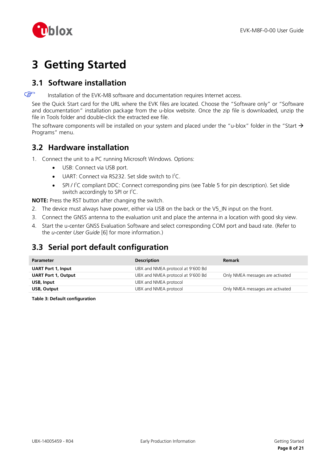

## <span id="page-7-0"></span>**3 Getting Started**

## <span id="page-7-1"></span>**3.1 Software installation**

 $\mathbb{F}$ Installation of the EVK-M8 software and documentation requires Internet access.

See the Quick Start card for the URL where the EVK files are located. Choose the "Software only" or "Software and documentation" installation package from the u-blox website. Once the zip file is downloaded, unzip the file in Tools folder and double-click the extracted exe file.

The software components will be installed on your system and placed under the "u-blox" folder in the "Start  $\rightarrow$ Programs" menu.

## <span id="page-7-2"></span>**3.2 Hardware installation**

- 1. Connect the unit to a PC running Microsoft Windows. Options:
	- USB: Connect via USB port.
	- $\bullet$  UART: Connect via RS232. Set slide switch to  $I^2C$ .
	- SPI /  $l^2C$  compliant DDC: Connect corresponding pins (see [Table 5](#page-10-0) for pin description). Set slide switch accordingly to SPI or  $I^2C$ .

**NOTE:** Press the RST button after changing the switch.

- 2. The device must always have power, either via USB on the back or the V5\_IN input on the front.
- 3. Connect the GNSS antenna to the evaluation unit and place the antenna in a location with good sky view.
- 4. Start the u-center GNSS Evaluation Software and select corresponding COM port and baud rate. (Refer to the *u-center User Guide* [\[6\]](#page-19-2) for more information.)

## <span id="page-7-3"></span>**3.3 Serial port default configuration**

| <b>Parameter</b>           | <b>Description</b>                | <b>Remark</b>                    |
|----------------------------|-----------------------------------|----------------------------------|
| <b>UART Port 1, Input</b>  | UBX and NMEA protocol at 9'600 Bd |                                  |
| <b>UART Port 1, Output</b> | UBX and NMEA protocol at 9'600 Bd | Only NMEA messages are activated |
| USB, Input                 | UBX and NMEA protocol             |                                  |
| USB, Output                | UBX and NMEA protocol             | Only NMEA messages are activated |

**Table 3: Default configuration**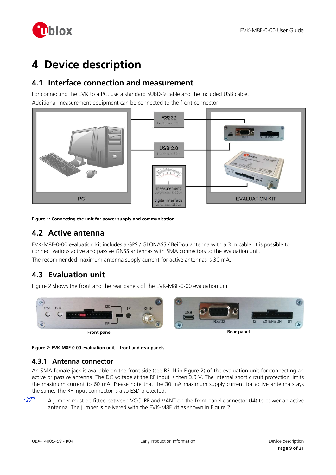

## <span id="page-8-0"></span>**4 Device description**

## <span id="page-8-1"></span>**4.1 Interface connection and measurement**

For connecting the EVK to a PC, use a standard SUBD-9 cable and the included USB cable. Additional measurement equipment can be connected to the front connector.



**Figure 1: Connecting the unit for power supply and communication**

### <span id="page-8-2"></span>**4.2 Active antenna**

EVK-M8F-0-00 evaluation kit includes a GPS / GLONASS / BeiDou antenna with a 3 m cable. It is possible to connect various active and passive GNSS antennas with SMA connectors to the evaluation unit. The recommended maximum antenna supply current for active antennas is 30 mA.

## <span id="page-8-3"></span>**4.3 Evaluation unit**

[Figure 2](#page-8-5) shows the front and the rear panels of the EVK-M8F-0-00 evaluation unit.



<span id="page-8-5"></span>**Figure 2: EVK-M8F-0-00 evaluation unit – front and rear panels**

### <span id="page-8-4"></span>**4.3.1 Antenna connector**

An SMA female jack is available on the front side (see RF IN in [Figure 2\)](#page-8-5) of the evaluation unit for connecting an active or passive antenna. The DC voltage at the RF input is then 3.3 V. The internal short circuit protection limits the maximum current to 60 mA. Please note that the 30 mA maximum supply current for active antenna stays the same. The RF input connector is also ESD protected.

A jumper must be fitted between VCC\_RF and VANT on the front panel connector (J4) to power an active antenna. The jumper is delivered with the EVK-M8F kit as shown in [Figure 2.](#page-8-5)

**P**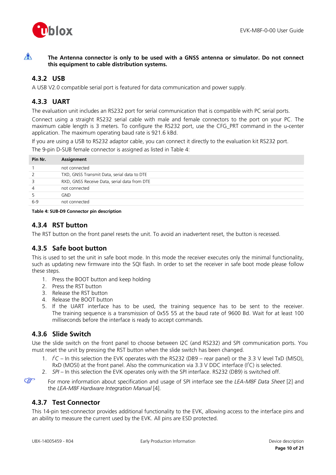

 $\bigwedge$ 

**The Antenna connector is only to be used with a GNSS antenna or simulator. Do not connect this equipment to cable distribution systems.**

### <span id="page-9-0"></span>**4.3.2 USB**

A USB V2.0 compatible serial port is featured for data communication and power supply.

### <span id="page-9-1"></span>**4.3.3 UART**

The evaluation unit includes an RS232 port for serial communication that is compatible with PC serial ports.

Connect using a straight RS232 serial cable with male and female connectors to the port on your PC. The maximum cable length is 3 meters. To configure the RS232 port, use the CFG\_PRT command in the u-center application. The maximum operating baud rate is 921.6 kBd.

If you are using a USB to RS232 adaptor cable, you can connect it directly to the evaluation kit RS232 port. The 9-pin D-SUB female connector is assigned as listed in [Table 4:](#page-9-6)

| Pin Nr. | Assignment                                   |
|---------|----------------------------------------------|
|         | not connected                                |
| 2       | TXD, GNSS Transmit Data, serial data to DTE  |
| 3       | RXD, GNSS Receive Data, serial data from DTE |
| 4       | not connected                                |
| 5       | GND.                                         |
| $6-9$   | not connected                                |
|         |                                              |

<span id="page-9-6"></span>**Table 4: SUB-D9 Connector pin description**

### <span id="page-9-2"></span>**4.3.4 RST button**

The RST button on the front panel resets the unit. To avoid an inadvertent reset, the button is recessed.

### <span id="page-9-3"></span>**4.3.5 Safe boot button**

This is used to set the unit in safe boot mode. In this mode the receiver executes only the minimal functionality, such as updating new firmware into the SQI flash. In order to set the receiver in safe boot mode please follow these steps.

- 1. Press the BOOT button and keep holding
- 2. Press the RST button
- 3. Release the RST button
- 4. Release the BOOT button
- 5. If the UART interface has to be used, the training sequence has to be sent to the receiver. The training sequence is a transmission of 0x55 55 at the baud rate of 9600 Bd. Wait for at least 100 milliseconds before the interface is ready to accept commands.

### <span id="page-9-4"></span>**4.3.6 Slide Switch**

Use the slide switch on the front panel to choose between I2C (and RS232) and SPI communication ports. You must reset the unit by pressing the RST button when the slide switch has been changed.

- 1.  $\angle$   $\angle$   $\angle$  In this selection the EVK operates with the RS232 (DB9 rear panel) or the 3.3 V level TxD (MISO), RxD (MOSI) at the front panel. Also the communication via 3.3 V DDC interface ( $I^2C$ ) is selected.
- 2. *SPI –* In this selection the EVK operates only with the SPI interface. RS232 (DB9) is switched off.

 $\mathbb{Q}$ 

For more information about specification and usage of SPI interface see the *LEA-M8F Data Sheet* [\[2\]](#page-19-3) and the *LEA-M8F Hardware Integration Manual* [\[4\].](#page-19-4)

### <span id="page-9-5"></span>**4.3.7 Test Connector**

This 14-pin test-connector provides additional functionality to the EVK, allowing access to the interface pins and an ability to measure the current used by the EVK. All pins are ESD protected.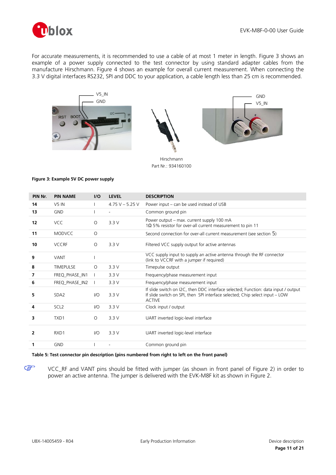

For accurate measurements, it is recommended to use a cable of at most 1 meter in length. [Figure 3](#page-10-1) shows an example of a power supply connected to the test connector by using standard adapter cables from the manufacture Hirschmann. [Figure 4](#page-12-1) shows an example for overall current measurement. When connecting the 3.3 V digital interfaces RS232, SPI and DDC to your application, a cable length less than 25 cm is recommended.







Hirschmann Part Nr.: 934160100

#### <span id="page-10-1"></span>**Figure 3: Example 5V DC power supply**

| PIN Nr. | <b>PIN NAME</b>  | I/O      | <b>LEVEL</b>      | <b>DESCRIPTION</b>                                                                                                                                                                  |
|---------|------------------|----------|-------------------|-------------------------------------------------------------------------------------------------------------------------------------------------------------------------------------|
| 14      | $V5$ IN          |          | 4.75 V $-$ 5.25 V | Power input – can be used instead of USB                                                                                                                                            |
| 13      | <b>GND</b>       |          |                   | Common ground pin                                                                                                                                                                   |
| 12      | <b>VCC</b>       | $\Omega$ | 3.3V              | Power output - max. current supply 100 mA<br>1 $\Omega$ 5% resistor for over-all current measurement to pin 11                                                                      |
| 11      | <b>MODVCC</b>    | $\circ$  |                   | Second connection for over-all current measurement (see section 5)                                                                                                                  |
| 10      | <b>VCCRF</b>     | $\Omega$ | 3.3V              | Filtered VCC supply output for active antennas                                                                                                                                      |
| 9       | <b>VANT</b>      |          |                   | VCC supply input to supply an active antenna through the RF connector<br>(link to VCCRF with a jumper if required)                                                                  |
| 8       | <b>TIMEPULSE</b> | $\circ$  | 3.3V              | Timepulse output                                                                                                                                                                    |
| 7       | FREQ_PHASE_IN1   |          | 3.3V              | Frequency/phase measurement input                                                                                                                                                   |
| 6       | FREQ_PHASE_IN2   |          | 3.3V              | Frequency/phase measurement input                                                                                                                                                   |
| 5       | SDA <sub>2</sub> | $U$      | 3.3V              | If slide switch on I2C, then DDC interface selected; Function: data input / output<br>If slide switch on SPI, then SPI interface selected; Chip select input - LOW<br><b>ACTIVE</b> |
| 4       | SCL <sub>2</sub> | $U$      | 3.3V              | Clock input / output                                                                                                                                                                |
| 3       | TXD1             | $\circ$  | 3.3V              | UART inverted logic-level interface                                                                                                                                                 |
| 2       | RXD1             | 1/O      | 3.3V              | UART inverted logic-level interface                                                                                                                                                 |
| 1       | <b>GND</b>       |          |                   | Common ground pin                                                                                                                                                                   |

### <span id="page-10-0"></span>**Table 5: Test connector pin description (pins numbered from right to left on the front panel)**

VCC\_RF and VANT pins should be fitted with jumper (as shown in front panel of [Figure 2\)](#page-8-5) in order to power an active antenna. The jumper is delivered with the EVK-M8F kit as shown in [Figure 2.](#page-8-5)

G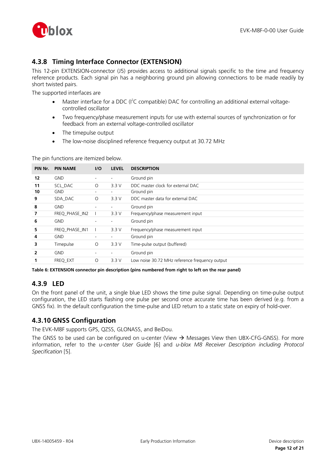

### <span id="page-11-0"></span>**4.3.8 Timing Interface Connector (EXTENSION)**

This 12-pin EXTENSION-connector (J5) provides access to additional signals specific to the time and frequency reference products. Each signal pin has a neighboring ground pin allowing connections to be made readily by short twisted pairs.

The supported interfaces are

- Master interface for a DDC (I<sup>2</sup>C compatible) DAC for controlling an additional external voltagecontrolled oscillator
- Two frequency/phase measurement inputs for use with external sources of synchronization or for feedback from an external voltage-controlled oscillator
- The timepulse output
- The low-noise disciplined reference frequency output at 30.72 MHz

The pin functions are itemized below.

| PIN Nr. | <b>PIN NAME</b> | I/O                      | <b>LEVEL</b>             | <b>DESCRIPTION</b>                             |
|---------|-----------------|--------------------------|--------------------------|------------------------------------------------|
| 12      | <b>GND</b>      |                          |                          | Ground pin                                     |
| 11      | SCL DAC         | $\Omega$                 | 3.3V                     | DDC master clock for external DAC              |
| 10      | <b>GND</b>      |                          | $\overline{\phantom{a}}$ | Ground pin                                     |
| 9       | SDA DAC         | $\circ$                  | 3.3V                     | DDC master data for external DAC               |
| 8       | <b>GND</b>      |                          | $\overline{\phantom{0}}$ | Ground pin                                     |
| 7       | FREQ PHASE IN2  |                          | 3.3V                     | Frequency/phase measurement input              |
| 6       | <b>GND</b>      |                          | ٠.                       | Ground pin                                     |
| 5       | FREQ PHASE IN1  |                          | 3.3V                     | Frequency/phase measurement input              |
| 4       | <b>GND</b>      | $\overline{\phantom{a}}$ | ٠.                       | Ground pin                                     |
| 3       | Timepulse       | $\circ$                  | 3.3V                     | Time-pulse output (buffered)                   |
| 2       | <b>GND</b>      |                          | ٠.                       | Ground pin                                     |
|         | FREQ_EXT        | $\Omega$                 | 3.3V                     | Low noise 30.72 MHz reference frequency output |

**Table 6: EXTENSION connector pin description (pins numbered from right to left on the rear panel)**

### <span id="page-11-1"></span>**4.3.9 LED**

On the front panel of the unit, a single blue LED shows the time pulse signal. Depending on time-pulse output configuration, the LED starts flashing one pulse per second once accurate time has been derived (e.g. from a GNSS fix). In the default configuration the time-pulse and LED return to a static state on expiry of hold-over.

### <span id="page-11-2"></span>**4.3.10 GNSS Configuration**

The EVK-M8F supports GPS, QZSS, GLONASS, and BeiDou.

The GNSS to be used can be configured on u-center (View  $\rightarrow$  Messages View then UBX-CFG-GNSS). For more information, refer to the *u-center User Guide* [\[6\]](#page-19-2) and *u-blox M8 Receiver Description including Protocol Specification* [\[5\].](#page-19-5)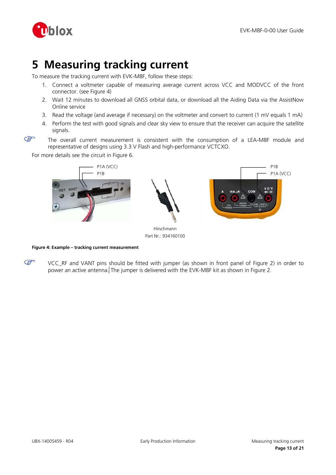

## <span id="page-12-0"></span>**5 Measuring tracking current**

To measure the tracking current with EVK-M8F, follow these steps:

- 1. Connect a voltmeter capable of measuring average current across VCC and MODVCC of the front connector. (see [Figure 4\)](#page-12-1)
- 2. Wait 12 minutes to download all GNSS orbital data, or download all the Aiding Data via the AssistNow Online service
- 3. Read the voltage (and average if necessary) on the voltmeter and convert to current (1 mV equals 1 mA)
- 4. Perform the test with good signals and clear sky view to ensure that the receiver can acquire the satellite signals.
- **SP**

The overall current measurement is consistent with the consumption of a LEA-M8F module and representative of designs using 3.3 V Flash and high-performance VCTCXO.

For more details see the circuit in [Figure 6.](#page-15-1)



Part Nr.: 934160100

<span id="page-12-1"></span>**Figure 4: Example – tracking current measurement**

**P** VCC\_RF and VANT pins should be fitted with jumper (as shown in front panel of Figure 2) in order to power an active antenna. The jumper is delivered with the EVK-M8F kit as shown in [Figure 2.](#page-8-5)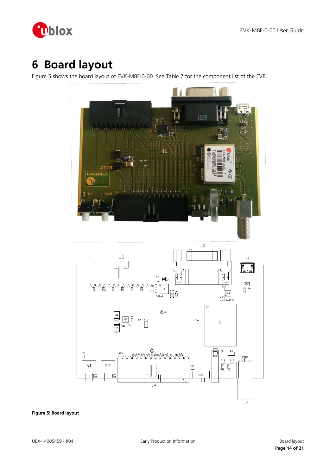

## <span id="page-13-0"></span>**6 Board layout**

[Figure 5](#page-13-1) shows the board layout of EVK-M8F-0-00. See [Table 7](#page-14-0) for the component list of the EVB.

<span id="page-13-1"></span>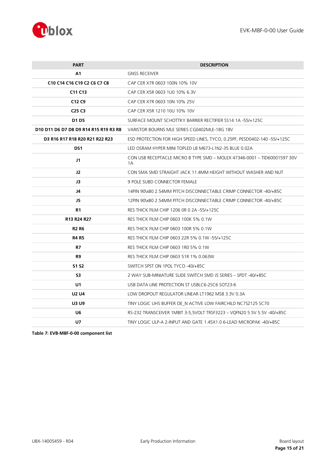

| <b>PART</b>                           | <b>DESCRIPTION</b>                                                             |  |
|---------------------------------------|--------------------------------------------------------------------------------|--|
| A1                                    | <b>GNSS RECEIVER</b>                                                           |  |
| C10 C14 C16 C19 C2 C6 C7 C8           | CAP CER X7R 0603 100N 10% 10V                                                  |  |
| C11 C13                               | CAP CER X5R 0603 1U0 10% 6.3V                                                  |  |
| C <sub>12</sub> C <sub>9</sub>        | CAP CER X7R 0603 10N 10% 25V                                                   |  |
| C <sub>25</sub> C <sub>3</sub>        | CAP CER X5R 1210 10U 10% 10V                                                   |  |
| D1 D5                                 | SURFACE MOUNT SCHOTTKY BARRIER RECTIFIER SS14 1A -55/+125C                     |  |
| D10 D11 D6 D7 D8 D9 R14 R15 R19 R3 R8 | VARISTOR BOURNS MLE SERIES CG0402MLE-18G 18V                                   |  |
| D3 R16 R17 R18 R20 R21 R22 R23        | ESD PROTECTION FOR HIGH SPEED LINES, TYCO, 0.25PF, PESD0402-140-55/+125C       |  |
| DS1                                   | LED OSRAM HYPER MINI TOPLED LB M673-L1N2-35 BLUE 0.02A                         |  |
| J1                                    | CON USB RECEPTACLE MICRO B TYPE SMD - MOLEX 47346-0001 - TID60001597 30V<br>1A |  |
| J2                                    | CON SMA SMD STRAIGHT JACK 11.4MM HEIGHT WITHOUT WASHER AND NUT                 |  |
| J3                                    | <b>9 POLE SUBD CONNECTOR FEMALE</b>                                            |  |
| J4                                    | 14PIN 90\xB0 2.54MM PITCH DISCONNECTABLE CRIMP CONNECTOR -40/+85C              |  |
| J5                                    | 12PIN 90\xB0 2.54MM PITCH DISCONNECTABLE CRIMP CONNECTOR -40/+85C              |  |
| R1                                    | RES THICK FILM CHIP 1206 OR 0 2A -55/+125C                                     |  |
| R13 R24 R27                           | RES THICK FILM CHIP 0603 100K 5% 0.1W                                          |  |
| <b>R2 R6</b>                          | RES THICK FILM CHIP 0603 100R 5% 0.1W                                          |  |
| <b>R4 R5</b>                          | RES THICK FILM CHIP 0603 22R 5% 0.1W -55/+125C                                 |  |
| <b>R7</b>                             | RES THICK FILM CHIP 0603 1R0 5% 0.1W                                           |  |
| R <sub>9</sub>                        | RES THICK FILM CHIP 0603 51R 1% 0.063W                                         |  |
| <b>S1 S2</b>                          | SWITCH SPST ON 1POL TYCO -40/+85C                                              |  |
| S <sub>3</sub>                        | 2 WAY SUB-MINIATURE SLIDE SWITCH SMD JS SERIES - SPDT -40/+85C                 |  |
| U <sub>1</sub>                        | USB DATA LINE PROTECTION ST USBLC6-2SC6 SOT23-6                                |  |
| <b>U2 U4</b>                          | LOW DROPOUT REGULATOR LINEAR LT1962 MS8 3.3V 0.3A                              |  |
| <b>U3 U9</b>                          | TINY LOGIC UHS BUFFER OE N ACTIVE LOW FAIRCHILD NC7SZ125 SC70                  |  |
| U6                                    | RS-232 TRANSCEIVER 1MBIT 3-5.5VOLT TRSF3223 - VOFN20 5.5V 5.5V -40/+85C        |  |
| U7                                    | TINY LOGIC ULP-A 2-INPUT AND GATE 1.45X1.0 6-LEAD MICROPAK -40/+85C            |  |
|                                       |                                                                                |  |

<span id="page-14-0"></span>**Table 7: EVB-M8F-0-00 component list**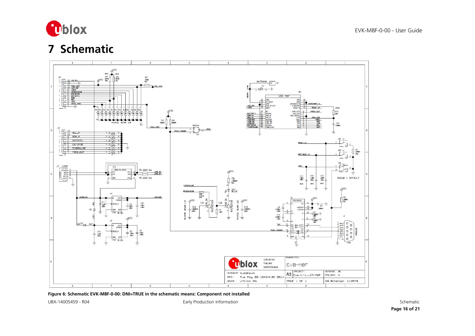

## **7 Schematic**



<span id="page-15-0"></span>**Figure 6: Schematic EVK-M8F-0-00: DNI=TRUE in the schematic means: Component not installed**

<span id="page-15-1"></span>

UBX-14005459 - R04 Early Production Information Schematic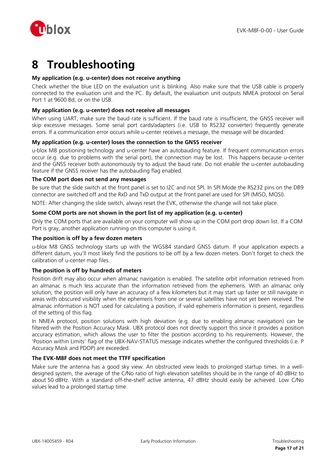

## <span id="page-16-0"></span>**8 Troubleshooting**

### **My application (e.g. u-center) does not receive anything**

Check whether the blue LED on the evaluation unit is blinking. Also make sure that the USB cable is properly connected to the evaluation unit and the PC. By default, the evaluation unit outputs NMEA protocol on Serial Port 1 at 9600 Bd, or on the USB.

### **My application (e.g. u-center) does not receive all messages**

When using UART, make sure the baud rate is sufficient. If the baud rate is insufficient, the GNSS receiver will skip excessive messages. Some serial port cards/adapters (i.e. USB to RS232 converter) frequently generate errors. If a communication error occurs while u-center receives a message, the message will be discarded.

### **My application (e.g. u-center) loses the connection to the GNSS receiver**

u-blox M8 positioning technology and u-center have an autobauding feature. If frequent communication errors occur (e.g. due to problems with the serial port), the connection may be lost. This happens because u-center and the GNSS receiver both autonomously try to adjust the baud rate. Do not enable the u-center autobauding feature if the GNSS receiver has the autobauding flag enabled.

### **The COM port does not send any messages**

Be sure that the slide switch at the front panel is set to I2C and not SPI. In SPI Mode the RS232 pins on the DB9 connector are switched off and the RxD and TxD output at the front panel are used for SPI (MISO, MOSI).

NOTE: After changing the slide switch, always reset the EVK, otherwise the change will not take place.

### **Some COM ports are not shown in the port list of my application (e.g. u-center)**

Only the COM ports that are available on your computer will show up in the COM port drop down list. If a COM Port is gray, another application running on this computer is using it.

### **The position is off by a few dozen meters**

u-blox M8 GNSS technology starts up with the WGS84 standard GNSS datum. If your application expects a different datum, you'll most likely find the positions to be off by a few dozen meters. Don't forget to check the calibration of u-center map files.

### **The position is off by hundreds of meters**

Position drift may also occur when almanac navigation is enabled. The satellite orbit information retrieved from an almanac is much less accurate than the information retrieved from the ephemeris. With an almanac only solution, the position will only have an accuracy of a few kilometers but it may start up faster or still navigate in areas with obscured visibility when the ephemeris from one or several satellites have not yet been received. The almanac information is NOT used for calculating a position, if valid ephemeris information is present, regardless of the setting of this flag.

In NMEA protocol, position solutions with high deviation (e.g. due to enabling almanac navigation) can be filtered with the Position Accuracy Mask. UBX protocol does not directly support this since it provides a position accuracy estimation, which allows the user to filter the position according to his requirements. However, the 'Position within Limits' flag of the UBX-NAV-STATUS message indicates whether the configured thresholds (i.e. P Accuracy Mask and PDOP) are exceeded.

### **The EVK-M8F does not meet the TTFF specification**

Make sure the antenna has a good sky view. An obstructed view leads to prolonged startup times. In a welldesigned system, the average of the C/No ratio of high elevation satellites should be in the range of 40 dBHz to about 50 dBHz. With a standard off-the-shelf active antenna, 47 dBHz should easily be achieved. Low C/No values lead to a prolonged startup time.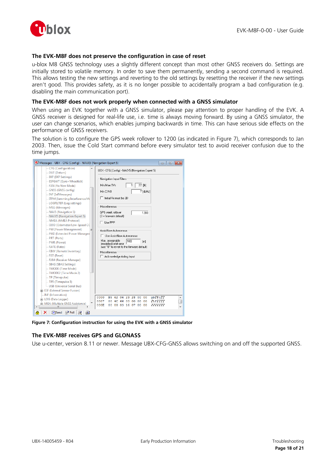

### **The EVK-M8F does not preserve the configuration in case of reset**

u-blox M8 GNSS technology uses a slightly different concept than most other GNSS receivers do. Settings are initially stored to volatile memory. In order to save them permanently, sending a second command is required. This allows testing the new settings and reverting to the old settings by resetting the receiver if the new settings aren't good. This provides safety, as it is no longer possible to accidentally program a bad configuration (e.g. disabling the main communication port).

### **The EVK-M8F does not work properly when connected with a GNSS simulator**

When using an EVK together with a GNSS simulator, please pay attention to proper handling of the EVK. A GNSS receiver is designed for real-life use, i.e. time is always moving forward. By using a GNSS simulator, the user can change scenarios, which enables jumping backwards in time. This can have serious side effects on the performance of GNSS receivers.

The solution is to configure the GPS week rollover to 1200 (as indicated in [Figure 7\)](#page-17-0), which corresponds to Jan 2003. Then, issue the Cold Start command before every simulator test to avoid receiver confusion due to the time jumps.



**Figure 7: Configuration instruction for using the EVK with a GNSS simulator**

### <span id="page-17-0"></span>**The EVK-M8F receives GPS and GLONASS**

Use u-center, version 8.11 or newer. Message UBX-CFG-GNSS allows switching on and off the supported GNSS.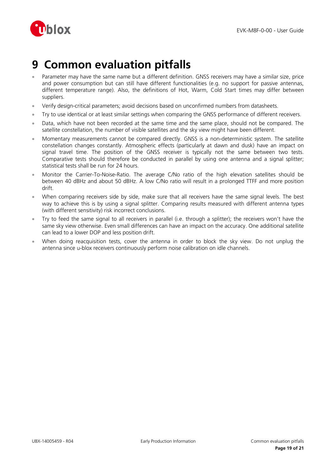

## <span id="page-18-0"></span>**9 Common evaluation pitfalls**

- Parameter may have the same name but a different definition. GNSS receivers may have a similar size, price and power consumption but can still have different functionalities (e.g. no support for passive antennas, different temperature range). Also, the definitions of Hot, Warm, Cold Start times may differ between suppliers.
- Verify design-critical parameters; avoid decisions based on unconfirmed numbers from datasheets.
- Try to use identical or at least similar settings when comparing the GNSS performance of different receivers.
- Data, which have not been recorded at the same time and the same place, should not be compared. The satellite constellation, the number of visible satellites and the sky view might have been different.
- Momentary measurements cannot be compared directly. GNSS is a non-deterministic system. The satellite constellation changes constantly. Atmospheric effects (particularly at dawn and dusk) have an impact on signal travel time. The position of the GNSS receiver is typically not the same between two tests. Comparative tests should therefore be conducted in parallel by using one antenna and a signal splitter; statistical tests shall be run for 24 hours.
- Monitor the Carrier-To-Noise-Ratio. The average C/No ratio of the high elevation satellites should be between 40 dBHz and about 50 dBHz. A low C/No ratio will result in a prolonged TTFF and more position drift.
- When comparing receivers side by side, make sure that all receivers have the same signal levels. The best way to achieve this is by using a signal splitter. Comparing results measured with different antenna types (with different sensitivity) risk incorrect conclusions.
- Try to feed the same signal to all receivers in parallel (i.e. through a splitter); the receivers won't have the same sky view otherwise. Even small differences can have an impact on the accuracy. One additional satellite can lead to a lower DOP and less position drift.
- When doing reacquisition tests, cover the antenna in order to block the sky view. Do not unplug the antenna since u-blox receivers continuously perform noise calibration on idle channels.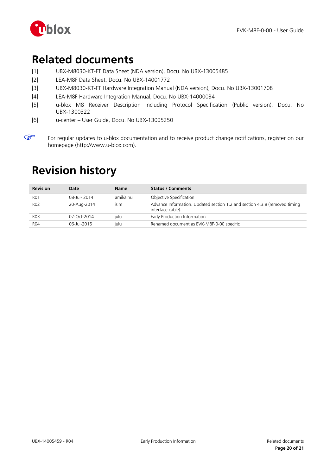

## <span id="page-19-0"></span>**Related documents**

- [1] UBX-M8030-KT-FT Data Sheet (NDA version), Docu. No UBX-13005485
- <span id="page-19-3"></span>[2] LEA-M8F Data Sheet, Docu. No UBX-14001772
- [3] UBX-M8030-KT-FT Hardware Integration Manual (NDA version), Docu. No UBX-13001708
- <span id="page-19-4"></span>[4] LEA-M8F Hardware Integration Manual, Docu. No UBX-14000034
- <span id="page-19-5"></span>[5] u-blox M8 Receiver Description including Protocol Specification (Public version), Docu. No UBX-1300322
- <span id="page-19-2"></span>[6] u-center – User Guide, Docu. No UBX-13005250

## <span id="page-19-1"></span>**Revision history**

| <b>Revision</b> | Date        | <b>Name</b> | <b>Status / Comments</b>                                                                        |
|-----------------|-------------|-------------|-------------------------------------------------------------------------------------------------|
| <b>RO1</b>      | 08-Jul-2014 | amil/alnu   | Objective Specification                                                                         |
| <b>RO2</b>      | 20-Aug-2014 | isim        | Advance Information. Updated section 1.2 and section 4.3.8 (removed timing<br>interface cable). |
| <b>R03</b>      | 07-Oct-2014 | iulu        | Early Production Information                                                                    |
| R04             | 06-Jul-2015 | iulu        | Renamed document as EVK-M8F-0-00 specific                                                       |

 $\mathbb{Q}$ For regular updates to u-blox documentation and to receive product change notifications, register on our homepage (http://www.u-blox.com).